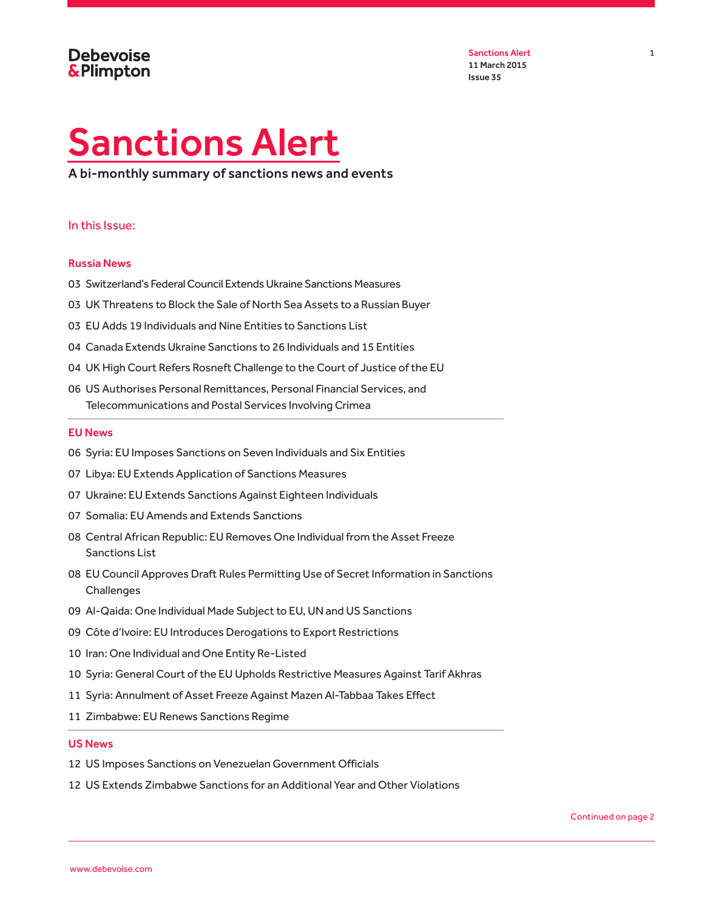Sanctions Alert 1 1 11 March 2015 Issue 35

# <span id="page-0-0"></span>Sanctions Alert

A bi-monthly summary of sanctions news and events

#### In this Issue:

#### [Russia News](#page-2-0)

- 03 Switzerland's Federal Council Extends Ukraine Sanctions Measures
- 03 UK Threatens to Block the Sale of North Sea Assets to a Russian Buyer
- 03 [EU Adds 19 Individuals and Nine Entities to Sanctions List](#page-2-1)
- 04 Canada Extends Ukraine Sanctions to 26 Individuals and 15 Entities
- 04 [UK High Court Refers Rosneft Challenge to the Court of Justice of the EU](#page-3-0)
- 06 [US Authorises Personal Remittances, Personal Financial Services, and](#page-5-0)  [Telecommunications and Postal Services Involving Crimea](#page-5-0)

#### [EU News](#page-5-1)

- 06 [Syria: EU Imposes Sanctions on Seven Individuals and Six Entities](#page-5-2)
- 07 [Libya: EU Extends Application of Sanctions Measures](#page-6-0)
- 07 [Ukraine: EU Extends Sanctions Against Eighteen Individuals](#page-6-1)
- 07 [Somalia: EU Amends and Extends Sanctions](#page-6-2)
- 08 [Central African Republic: EU Removes One Individual from the Asset Freeze](#page-7-0)  [Sanctions List](#page-7-0)
- 08 [EU Council Approves Draft Rules Permitting Use of Secret Information in Sanctions](#page-7-1)  **[Challenges](#page-7-1)**
- 09 [Al-Qaida: One Individual Made Subject to EU, UN and US Sanctions](#page-8-0)
- 09 Côte d'Ivoire: EU Introduces Derogations to Export Restrictions
- 10 [Iran: One Individual and One Entity Re-Listed](#page-9-0)
- 10 [Syria: General Court of the EU Upholds Restrictive Measures Against Tarif Akhras](#page-9-1)
- 11 Syria: Annulment of Asset Freeze Against Mazen Al-Tabbaa Takes Effect
- 11 [Zimbabwe: EU Renews Sanctions Regime](#page-10-0)

#### [US News](#page-11-0)

- 12 [US Imposes Sanctions on Venezuelan Government Officials](#page-11-1)
- 12 [US Extends Zimbabwe Sanctions for an Additional Year and Other Violations](#page-11-2)

Continued on page 2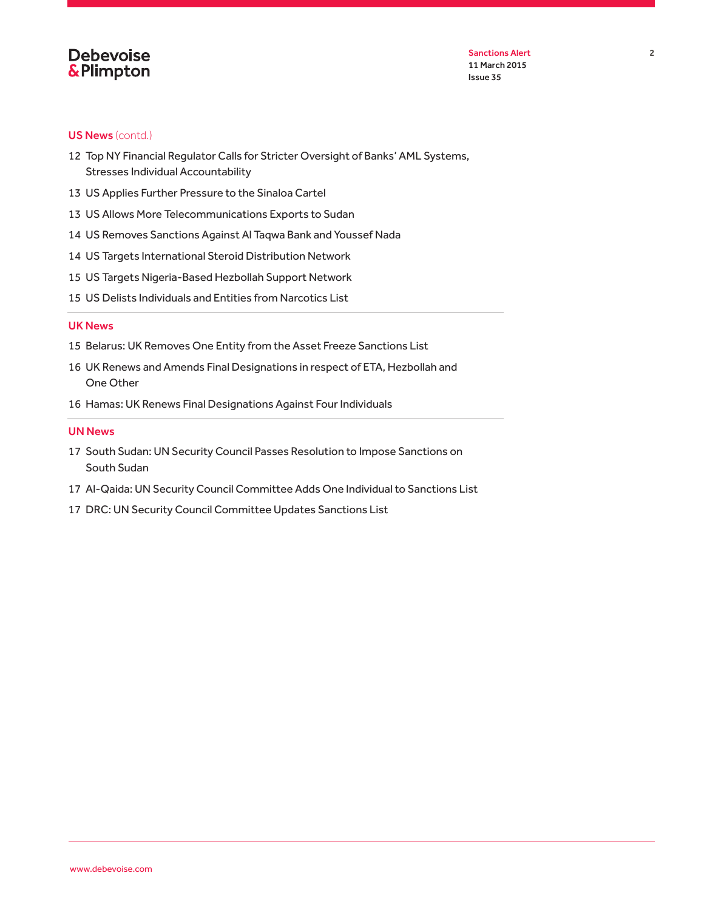

Sanctions Alert 2012 11 March 2015 Issue 35

#### [US News](#page-11-0) (contd.)

- 12 Top NY Financial Regulator Calls for Stricter Oversight of Banks' AML Systems, Stresses Individual Accountability
- 13 [US Applies Further Pressure to the Sinaloa Cartel](#page-12-0)
- 13 [US Allows More Telecommunications Exports to Sudan](#page-12-1)
- 14 [US Removes Sanctions Against Al Taqwa Bank and Youssef Nada](#page-13-0)
- 14 [US Targets International Steroid Distribution Network](#page-13-1)
- 15 [US Targets Nigeria-Based Hezbollah Support Network](#page-14-0)
- 15 [US Delists Individuals and Entities from Narcotics List](#page-14-1)

#### [UK News](#page-14-2)

- 15 [Belarus: UK Removes One Entity from the Asset Freeze Sanctions List](#page-14-3)
- 16 [UK Renews and Amends Final Designations in respect of ETA, Hezbollah and](#page-15-0)  [One Other](#page-15-0)
- 16 [Hamas: UK Renews Final Designations Against Four Individuals](#page-15-1)

#### [UN News](#page-16-0)

- 17 [South Sudan: UN Security Council Passes Resolution to Impose Sanctions on](#page-16-1)  [South Sudan](#page-16-1)
- 17 [Al-Qaida: UN Security Council Committee Adds One Individual to Sanctions List](#page-16-2)
- 17 [DRC: UN Security Council Committee Updates Sanctions List](#page-16-3)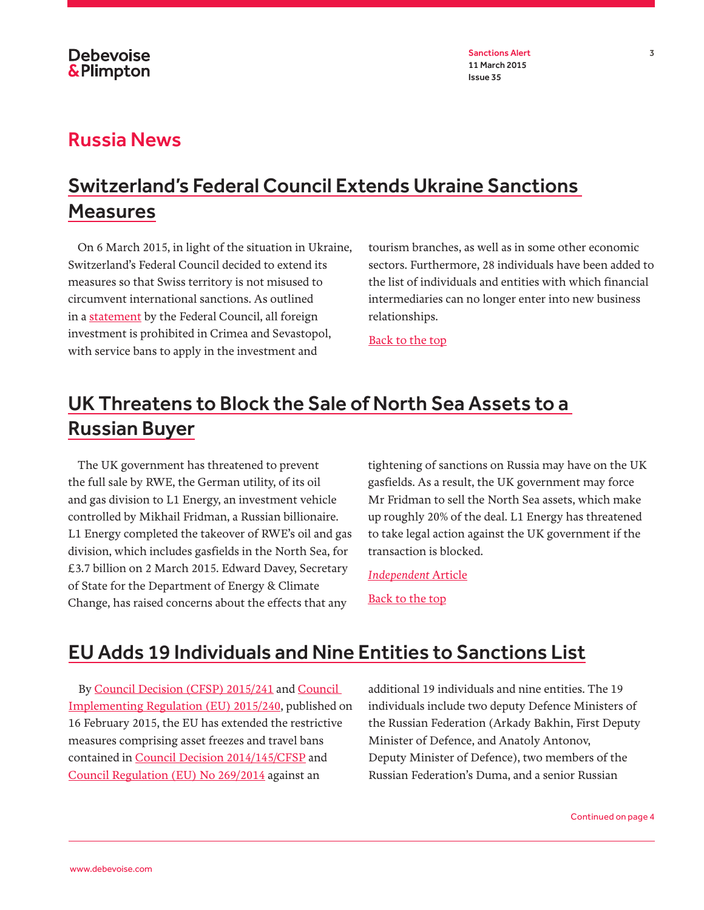Sanctions Alert 3 11 March 2015 Issue 35

#### <span id="page-2-0"></span>Russia News

# Switzerland's Federal Council Extends Ukraine Sanctions Measures

On 6 March 2015, in light of the situation in Ukraine, Switzerland's Federal Council decided to extend its measures so that Swiss territory is not misused to circumvent international sanctions. As outlined in a [statement](https://www.news.admin.ch/message/index.html?lang=en&msg-id=56478) by the Federal Council, all foreign investment is prohibited in Crimea and Sevastopol, with service bans to apply in the investment and

tourism branches, as well as in some other economic sectors. Furthermore, 28 individuals have been added to the list of individuals and entities with which financial intermediaries can no longer enter into new business relationships.

[Back to the top](#page-0-0)

# UK Threatens to Block the Sale of North Sea Assets to a Russian Buyer

The UK government has threatened to prevent the full sale by RWE, the German utility, of its oil and gas division to L1 Energy, an investment vehicle controlled by Mikhail Fridman, a Russian billionaire. L1 Energy completed the takeover of RWE's oil and gas division, which includes gasfields in the North Sea, for £3.7 billion on 2 March 2015. Edward Davey, Secretary of State for the Department of Energy & Climate Change, has raised concerns about the effects that any

tightening of sanctions on Russia may have on the UK gasfields. As a result, the UK government may force Mr Fridman to sell the North Sea assets, which make up roughly 20% of the deal. L1 Energy has threatened to take legal action against the UK government if the transaction is blocked.

*[Independent](http://www.independent.co.uk/news/business/news/russian-oligarch-mikhail-fridman-rounds-on-irrational-north-sea-protection-10081473.html)* Article [Back to the top](#page-0-0)

### <span id="page-2-1"></span>EU Adds 19 Individuals and Nine Entities to Sanctions List

By [Council Decision \(CFSP\) 2015/241](http://eur-lex.europa.eu/legal-content/EN/TXT/PDF/?uri=CELEX:32015D0241&rid=2) and [Council](http://eur-lex.europa.eu/legal-content/EN/TXT/PDF/?uri=OJ:JOL_2015_040_R_0003&rid=3)  [Implementing Regulation \(EU\) 2015/240](http://eur-lex.europa.eu/legal-content/EN/TXT/PDF/?uri=OJ:JOL_2015_040_R_0003&rid=3), published on 16 February 2015, the EU has extended the restrictive measures comprising asset freezes and travel bans contained in [Council Decision 2014/145/CFSP](http://eur-lex.europa.eu/legal-content/EN/TXT/PDF/?uri=CELEX:32014D0145&rid=2) and [Council Regulation \(EU\) No 269/2014](http://eur-lex.europa.eu/legal-content/EN/TXT/PDF/?uri=CELEX:32014R0269&from=EN) against an

additional 19 individuals and nine entities. The 19 individuals include two deputy Defence Ministers of the Russian Federation (Arkady Bakhin, First Deputy Minister of Defence, and Anatoly Antonov, Deputy Minister of Defence), two members of the Russian Federation's Duma, and a senior Russian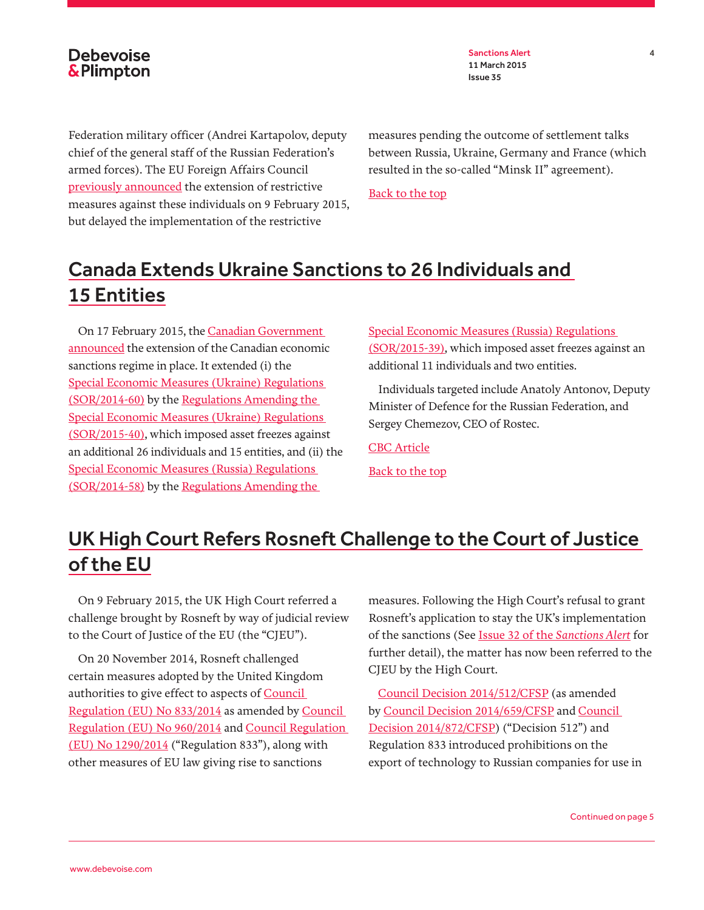Sanctions Alert 4 11 March 2015 Issue 35

Federation military officer (Andrei Kartapolov, deputy chief of the general staff of the Russian Federation's armed forces). The EU Foreign Affairs Council [previously announced](http://www.consilium.europa.eu/en/meetings/fac/2015/02/Outcome-of-the-Council-meeting_FAC_150209_pdf/) the extension of restrictive measures against these individuals on 9 February 2015, but delayed the implementation of the restrictive

measures pending the outcome of settlement talks between Russia, Ukraine, Germany and France (which resulted in the so-called "Minsk II" agreement).

[Back to the top](#page-0-0)

# Canada Extends Ukraine Sanctions to 26 Individuals and 15 Entities

On 17 February 2015, the [Canadian Government](http://pm.gc.ca/eng/news/2015/02/17/expanded-sanctions-list)  [announced](http://pm.gc.ca/eng/news/2015/02/17/expanded-sanctions-list) the extension of the Canadian economic sanctions regime in place. It extended (i) the [Special Economic Measures \(Ukraine\) Regulations](http://laws-lois.justice.gc.ca/eng/regulations/SOR-2014-60/index.html)  [\(SOR/2014-60\)](http://laws-lois.justice.gc.ca/eng/regulations/SOR-2014-60/index.html) by the [Regulations Amending the](http://www.international.gc.ca/sanctions/countries-pays/ukraine_regulations-ukraine_reglements.aspx?lang=eng)  [Special Economic Measures \(Ukraine\) Regulations](http://www.international.gc.ca/sanctions/countries-pays/ukraine_regulations-ukraine_reglements.aspx?lang=eng)  [\(SOR/2015-40\),](http://www.international.gc.ca/sanctions/countries-pays/ukraine_regulations-ukraine_reglements.aspx?lang=eng) which imposed asset freezes against an additional 26 individuals and 15 entities, and (ii) the [Special Economic Measures \(Russia\) Regulations](http://gazette.gc.ca/rp-pr/p2/2014/2014-04-09/html/sor-dors58-eng.php)  [\(SOR/2014-58\)](http://gazette.gc.ca/rp-pr/p2/2014/2014-04-09/html/sor-dors58-eng.php) by the [Regulations Amending the](http://www.international.gc.ca/sanctions/countries-pays/russia_regulations-russie_reglements.aspx?lang=eng) 

[Special Economic Measures \(Russia\) Regulations](http://www.international.gc.ca/sanctions/countries-pays/russia_regulations-russie_reglements.aspx?lang=eng)  [\(SOR/2015-39\),](http://www.international.gc.ca/sanctions/countries-pays/russia_regulations-russie_reglements.aspx?lang=eng) which imposed asset freezes against an additional 11 individuals and two entities.

Individuals targeted include Anatoly Antonov, Deputy Minister of Defence for the Russian Federation, and Sergey Chemezov, CEO of Rostec.

[CBC Article](http://www.cbc.ca/news/politics/ukraine-conflict-canada-issues-new-sanctions-1.2961110)

[Back to the top](#page-0-0)

# <span id="page-3-0"></span>UK High Court Refers Rosneft Challenge to the Court of Justice of the EU

On 9 February 2015, the UK High Court referred a challenge brought by Rosneft by way of judicial review to the Court of Justice of the EU (the "CJEU").

On 20 November 2014, Rosneft challenged certain measures adopted by the United Kingdom authorities to give effect to aspects of [Council](http://eur-lex.europa.eu/legal-content/EN/TXT/PDF/?uri=CELEX:32014R0833&rid=2)  [Regulation \(EU\) No 833/2014](http://eur-lex.europa.eu/legal-content/EN/TXT/PDF/?uri=CELEX:32014R0833&rid=2) as amended by [Council](http://eur-lex.europa.eu/legal-content/EN/TXT/PDF/?uri=CELEX:32014R0960&rid=2)  [Regulation \(EU\) No 960/2014](http://eur-lex.europa.eu/legal-content/EN/TXT/PDF/?uri=CELEX:32014R0960&rid=2) and [Council Regulation](http://eur-lex.europa.eu/legal-content/EN/TXT/PDF/?uri=CELEX:32014R1290&rid=1)  [\(EU\) No 1290/2014](http://eur-lex.europa.eu/legal-content/EN/TXT/PDF/?uri=CELEX:32014R1290&rid=1) ("Regulation 833"), along with other measures of EU law giving rise to sanctions

measures. Following the High Court's refusal to grant Rosneft's application to stay the UK's implementation of the sanctions (See [Issue 32 of the](http://www.debevoise.com/~/media/files/insights/publications/2014/12/sanctions_alert_issue32.pdf) *Sanctions Alert* for further detail), the matter has now been referred to the CJEU by the High Court.

[Council Decision 2014/512/CFSP](http://eur-lex.europa.eu/legal-content/EN/TXT/PDF/?uri=CELEX:32014D0512&rid=7) (as amended by [Council Decision 2014/659/CFSP](http://eur-lex.europa.eu/legal-content/EN/TXT/PDF/?uri=CELEX:32014D0659&rid=2) and [Council](http://eur-lex.europa.eu/legal-content/EN/TXT/PDF/?uri=CELEX:32014D0872&rid=1)  [Decision 2014/872/CFSP\)](http://eur-lex.europa.eu/legal-content/EN/TXT/PDF/?uri=CELEX:32014D0872&rid=1) ("Decision 512") and Regulation 833 introduced prohibitions on the export of technology to Russian companies for use in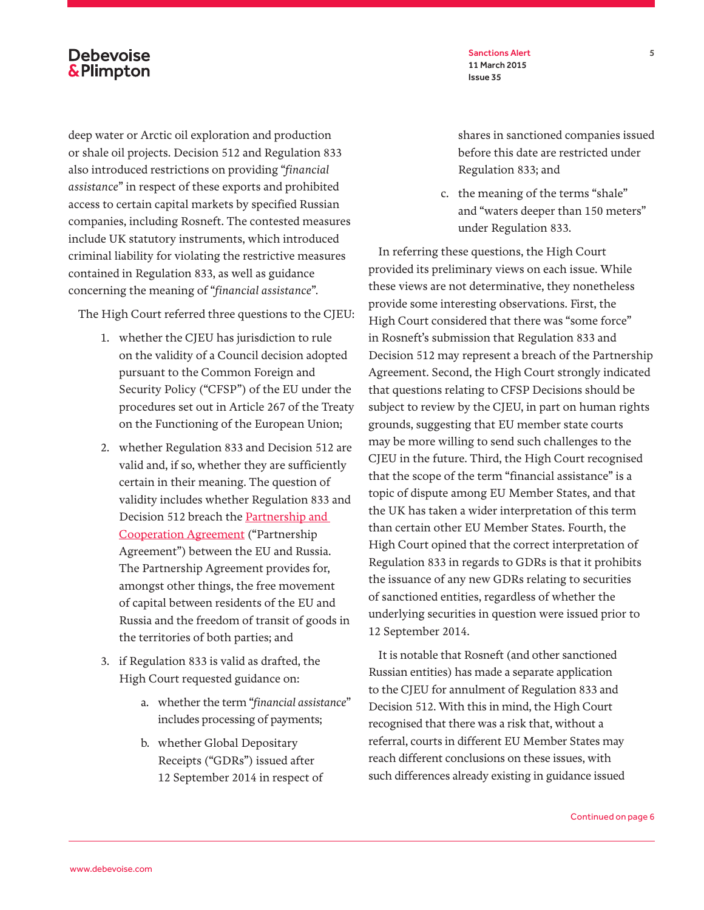deep water or Arctic oil exploration and production or shale oil projects. Decision 512 and Regulation 833 also introduced restrictions on providing "*financial assistance*" in respect of these exports and prohibited access to certain capital markets by specified Russian companies, including Rosneft. The contested measures include UK statutory instruments, which introduced criminal liability for violating the restrictive measures contained in Regulation 833, as well as guidance concerning the meaning of "*financial assistance*".

The High Court referred three questions to the CJEU:

- 1. whether the CJEU has jurisdiction to rule on the validity of a Council decision adopted pursuant to the Common Foreign and Security Policy ("CFSP") of the EU under the procedures set out in Article 267 of the Treaty on the Functioning of the European Union;
- 2. whether Regulation 833 and Decision 512 are valid and, if so, whether they are sufficiently certain in their meaning. The question of validity includes whether Regulation 833 and Decision 512 breach the [Partnership and](http://www.google.co.uk/url?sa=t&rct=j&q=&esrc=s&source=web&cd=3&ved=0CDEQFjAC&url=http%3A%2F%2Fwww.russianmission.eu%2Fuserfiles%2Ffile%2Fpartnership_and_cooperation_agreement_1997_english.pdf&ei=PFf4VLO3M8nWPfXgAQ&usg=AFQjCNEWP5P_XZOUd6k399-jo6l-h_-Wjw&bvm=bv.87519884,d.ZWU)  [Cooperation Agreement](http://www.google.co.uk/url?sa=t&rct=j&q=&esrc=s&source=web&cd=3&ved=0CDEQFjAC&url=http%3A%2F%2Fwww.russianmission.eu%2Fuserfiles%2Ffile%2Fpartnership_and_cooperation_agreement_1997_english.pdf&ei=PFf4VLO3M8nWPfXgAQ&usg=AFQjCNEWP5P_XZOUd6k399-jo6l-h_-Wjw&bvm=bv.87519884,d.ZWU) ("Partnership Agreement") between the EU and Russia. The Partnership Agreement provides for, amongst other things, the free movement of capital between residents of the EU and Russia and the freedom of transit of goods in the territories of both parties; and
- 3. if Regulation 833 is valid as drafted, the High Court requested guidance on:
	- a. whether the term "*financial assistance*" includes processing of payments;
	- b. whether Global Depositary Receipts ("GDRs") issued after 12 September 2014 in respect of

Sanctions Alert 5 11 March 2015 Issue 35

shares in sanctioned companies issued before this date are restricted under Regulation 833; and

c. the meaning of the terms "shale" and "waters deeper than 150 meters" under Regulation 833.

In referring these questions, the High Court provided its preliminary views on each issue. While these views are not determinative, they nonetheless provide some interesting observations. First, the High Court considered that there was "some force" in Rosneft's submission that Regulation 833 and Decision 512 may represent a breach of the Partnership Agreement. Second, the High Court strongly indicated that questions relating to CFSP Decisions should be subject to review by the CJEU, in part on human rights grounds, suggesting that EU member state courts may be more willing to send such challenges to the CJEU in the future. Third, the High Court recognised that the scope of the term "financial assistance" is a topic of dispute among EU Member States, and that the UK has taken a wider interpretation of this term than certain other EU Member States. Fourth, the High Court opined that the correct interpretation of Regulation 833 in regards to GDRs is that it prohibits the issuance of any new GDRs relating to securities of sanctioned entities, regardless of whether the underlying securities in question were issued prior to 12 September 2014.

It is notable that Rosneft (and other sanctioned Russian entities) has made a separate application to the CJEU for annulment of Regulation 833 and Decision 512. With this in mind, the High Court recognised that there was a risk that, without a referral, courts in different EU Member States may reach different conclusions on these issues, with such differences already existing in guidance issued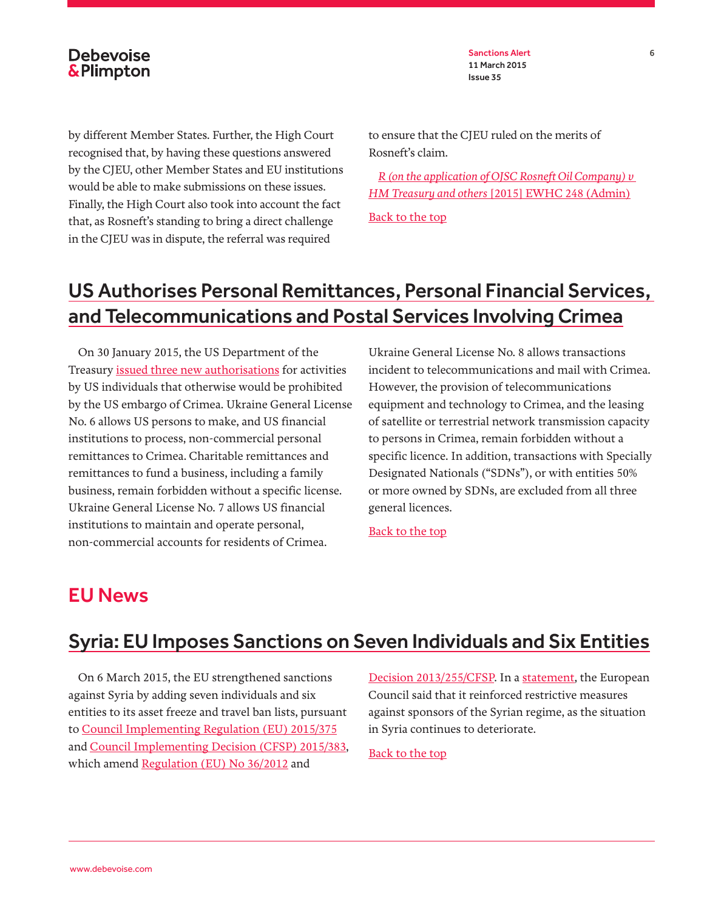Sanctions Alert 6 11 March 2015 Issue 35

by different Member States. Further, the High Court recognised that, by having these questions answered by the CJEU, other Member States and EU institutions would be able to make submissions on these issues. Finally, the High Court also took into account the fact that, as Rosneft's standing to bring a direct challenge in the CJEU was in dispute, the referral was required

to ensure that the CJEU ruled on the merits of Rosneft's claim.

*[R \(on the application of OJSC Rosneft Oil Company\) v](http://www.bailii.org/ew/cases/EWHC/Admin/2015/248.html)  HM Treasury and others* [\[2015\] EWHC 248 \(Admin\)](http://www.bailii.org/ew/cases/EWHC/Admin/2015/248.html)

[Back to the top](#page-0-0)

## <span id="page-5-0"></span>US Authorises Personal Remittances, Personal Financial Services, and Telecommunications and Postal Services Involving Crimea

On 30 January 2015, the US Department of the Treasury [issued three new authorisations](http://www.treasury.gov/resource-center/sanctions/OFAC-Enforcement/Pages/20150130.aspx) for activities by US individuals that otherwise would be prohibited by the US embargo of Crimea. Ukraine General License No. 6 allows US persons to make, and US financial institutions to process, non-commercial personal remittances to Crimea. Charitable remittances and remittances to fund a business, including a family business, remain forbidden without a specific license. Ukraine General License No. 7 allows US financial institutions to maintain and operate personal, non-commercial accounts for residents of Crimea.

Ukraine General License No. 8 allows transactions incident to telecommunications and mail with Crimea. However, the provision of telecommunications equipment and technology to Crimea, and the leasing of satellite or terrestrial network transmission capacity to persons in Crimea, remain forbidden without a specific licence. In addition, transactions with Specially Designated Nationals ("SDNs"), or with entities 50% or more owned by SDNs, are excluded from all three general licences.

[Back to the top](#page-0-0)

#### <span id="page-5-1"></span>EU News

### <span id="page-5-2"></span>Syria: EU Imposes Sanctions on Seven Individuals and Six Entities

On 6 March 2015, the EU strengthened sanctions against Syria by adding seven individuals and six entities to its asset freeze and travel ban lists, pursuant to [Council Implementing Regulation \(EU\) 2015/375](http://eur-lex.europa.eu/legal-content/EN/TXT/PDF/?uri=OJ:JOL_2015_064_R_0005&from=EN) and [Council Implementing Decision \(CFSP\) 2015/383](http://eur-lex.europa.eu/legal-content/EN/TXT/PDF/?uri=OJ:JOL_2015_064_R_0013&from=EN), which amend [Regulation \(EU\) No 36/2012](http://eur-lex.europa.eu/legal-content/EN/TXT/PDF/?uri=CELEX:32012R0036&qid=1425895644572&from=EN) and

[Decision 2013/255/CFSP](http://eur-lex.europa.eu/legal-content/EN/TXT/PDF/?uri=CELEX:32013D0255&from=EN). In a [statement,](http://www.consilium.europa.eu/en/press/press-releases/2015/03/150305-council-extends-eu-sanctions-over-misappropriation-ukrainian-state-funds/) the European Council said that it reinforced restrictive measures against sponsors of the Syrian regime, as the situation in Syria continues to deteriorate.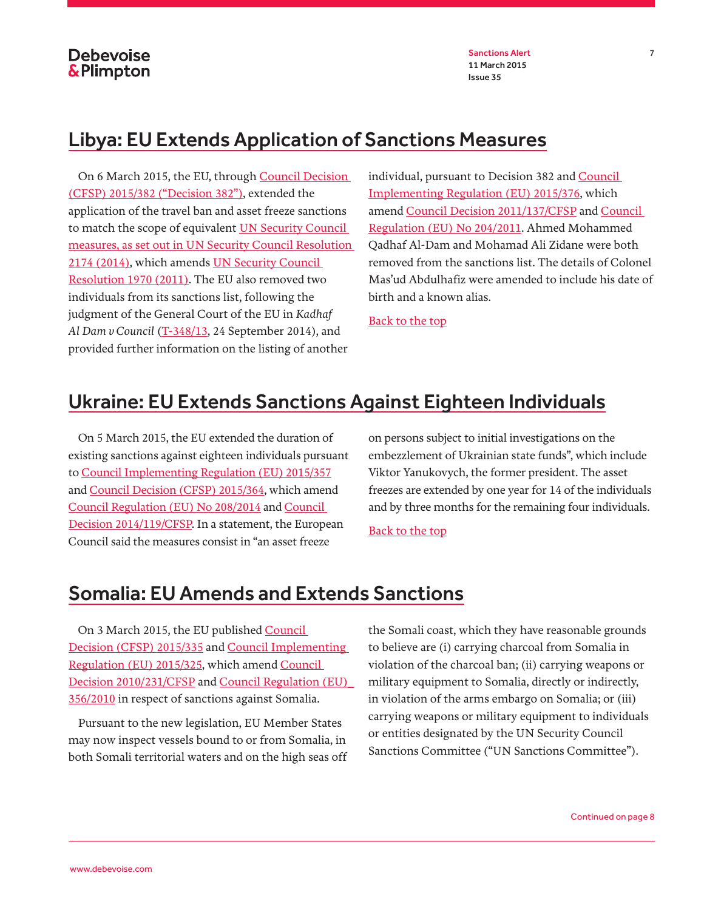### <span id="page-6-0"></span>Libya: EU Extends Application of Sanctions Measures

On 6 March 2015, the EU, through [Council Decision](http://eur-lex.europa.eu/legal-content/EN/TXT/PDF/?uri=OJ:JOL_2015_064_R_0012&from=EN)  [\(CFSP\) 2015/382 \("Decision 382"\)](http://eur-lex.europa.eu/legal-content/EN/TXT/PDF/?uri=OJ:JOL_2015_064_R_0012&from=EN), extended the application of the travel ban and asset freeze sanctions to match the scope of equivalent [UN Security Council](http://www.un.org/press/en/2014/sc11537.doc.htm)  [measures, as set out in UN Security Council Resolution](http://www.un.org/press/en/2014/sc11537.doc.htm)  [2174 \(2014\),](http://www.un.org/press/en/2014/sc11537.doc.htm) which amends [UN Security Council](http://www.google.co.uk/url?sa=t&rct=j&q=&esrc=s&source=web&cd=1&cad=rja&uact=8&ved=0CCIQFjAA&url=http%3A%2F%2Fwww.icc-cpi.int%2FNR%2Frdonlyres%2F081A9013-B03D-4859-9D61-5D0B0F2F5EFA%2F0%2F1970Eng.pdf&ei=l6n9VNHLNIXaPeOWgYgE&usg=AFQjCNEPyEXFtmovpV2iiGkQjEItQQj4TQ&bvm=bv.87611401,d.ZWU)  [Resolution 1970 \(2011\)](http://www.google.co.uk/url?sa=t&rct=j&q=&esrc=s&source=web&cd=1&cad=rja&uact=8&ved=0CCIQFjAA&url=http%3A%2F%2Fwww.icc-cpi.int%2FNR%2Frdonlyres%2F081A9013-B03D-4859-9D61-5D0B0F2F5EFA%2F0%2F1970Eng.pdf&ei=l6n9VNHLNIXaPeOWgYgE&usg=AFQjCNEPyEXFtmovpV2iiGkQjEItQQj4TQ&bvm=bv.87611401,d.ZWU). The EU also removed two individuals from its sanctions list, following the judgment of the General Court of the EU in *Kadhaf Al Dam v Council* ([T-348/13](http://curia.europa.eu/juris/document/document.jsf?text=&docid=159998&pageIndex=0&doclang=EN&mode=req&dir=&occ=first&part=1&cid=101627), 24 September 2014), and provided further information on the listing of another

individual, pursuant to Decision 382 and [Council](http://eur-lex.europa.eu/legal-content/EN/TXT/PDF/?uri=OJ:JOL_2015_064_R_0006&from=EN)  [Implementing Regulation \(EU\) 2015/376](http://eur-lex.europa.eu/legal-content/EN/TXT/PDF/?uri=OJ:JOL_2015_064_R_0006&from=EN), which amend [Council Decision 2011/137/CFSP](http://eur-lex.europa.eu/legal-content/EN/TXT/PDF/?uri=CELEX:32011D0137&from=EN) and [Council](http://eur-lex.europa.eu/legal-content/EN/TXT/PDF/?uri=CELEX:32011R0204&from=EN)  [Regulation \(EU\) No 204/2011.](http://eur-lex.europa.eu/legal-content/EN/TXT/PDF/?uri=CELEX:32011R0204&from=EN) Ahmed Mohammed Qadhaf Al-Dam and Mohamad Ali Zidane were both removed from the sanctions list. The details of Colonel Mas'ud Abdulhafiz were amended to include his date of birth and a known alias.

[Back to the top](#page-0-0)

### <span id="page-6-1"></span>Ukraine: EU Extends Sanctions Against Eighteen Individuals

On 5 March 2015, the EU extended the duration of existing sanctions against eighteen individuals pursuant to [Council Implementing Regulation \(EU\) 2015/357](http://eur-lex.europa.eu/legal-content/EN/TXT/PDF/?uri=OJ:JOL_2015_062_R_0001&from=EN) and [Council Decision \(CFSP\) 2015/364,](http://eur-lex.europa.eu/legal-content/EN/TXT/PDF/?uri=OJ:JOL_2015_062_R_0008&from=EN) which amend [Council Regulation \(EU\) No 208/2014](http://eur-lex.europa.eu/legal-content/EN/TXT/PDF/?uri=CELEX:32014R0208&from=EN) and [Council](http://eur-lex.europa.eu/legal-content/EN/TXT/PDF/?uri=CELEX:32014D0119&from=EN)  [Decision 2014/119/CFSP.](http://eur-lex.europa.eu/legal-content/EN/TXT/PDF/?uri=CELEX:32014D0119&from=EN) In a statement, the European Council said the measures consist in "an asset freeze

on persons subject to initial investigations on the embezzlement of Ukrainian state funds", which include Viktor Yanukovych, the former president. The asset freezes are extended by one year for 14 of the individuals and by three months for the remaining four individuals.

[Back to the top](#page-0-0)

#### <span id="page-6-2"></span>Somalia: EU Amends and Extends Sanctions

On 3 March 2015, the EU published [Council](http://eur-lex.europa.eu/legal-content/EN/TXT/PDF/?uri=OJ:JOL_2015_058_R_0014&from=EN)  [Decision \(CFSP\) 2015/335](http://eur-lex.europa.eu/legal-content/EN/TXT/PDF/?uri=OJ:JOL_2015_058_R_0014&from=EN) and [Council Implementing](http://eur-lex.europa.eu/legal-content/EN/TXT/PDF/?uri=OJ:JOL_2015_058_R_0004&from=EN)  [Regulation \(EU\) 2015/325,](http://eur-lex.europa.eu/legal-content/EN/TXT/PDF/?uri=OJ:JOL_2015_058_R_0004&from=EN) which amend [Council](http://www.google.co.uk/url?sa=t&rct=j&q=&esrc=s&source=web&cd=1&cad=rja&uact=8&ved=0CCEQFjAA&url=http%3A%2F%2Feur-lex.europa.eu%2FLexUriServ%2FLexUriServ.do%3Furi%3DOJ%3AL%3A2010%3A105%3A0017%3A0021%3AEN%3APDF&ei=WUL2VLLwHIO3ONufgdAK&usg=AFQjCNFgbS80EuYEf9iPLkWfWsTQ6cRANA)  [Decision 2010/231/CFSP](http://www.google.co.uk/url?sa=t&rct=j&q=&esrc=s&source=web&cd=1&cad=rja&uact=8&ved=0CCEQFjAA&url=http%3A%2F%2Feur-lex.europa.eu%2FLexUriServ%2FLexUriServ.do%3Furi%3DOJ%3AL%3A2010%3A105%3A0017%3A0021%3AEN%3APDF&ei=WUL2VLLwHIO3ONufgdAK&usg=AFQjCNFgbS80EuYEf9iPLkWfWsTQ6cRANA) and Council Regulation (EU) [356/2010](http://www.google.co.uk/url?sa=t&rct=j&q=&esrc=s&source=web&cd=1&ved=0CCIQFjAA&url=http%3A%2F%2Feur-lex.europa.eu%2FLexUriServ%2FLexUriServ.do%3Furi%3DOJ%3AL%3A2010%3A105%3A0001%3A0009%3AEN%3APDF&ei=hD73VO_ZII6HPb6kgYgJ&usg=AFQjCNEK5nzSUy9vASOUD4j-iY0uqa6E0Q&bvm=bv.87519884,d.ZWU) in respect of sanctions against Somalia.

Pursuant to the new legislation, EU Member States may now inspect vessels bound to or from Somalia, in both Somali territorial waters and on the high seas off the Somali coast, which they have reasonable grounds to believe are (i) carrying charcoal from Somalia in violation of the charcoal ban; (ii) carrying weapons or military equipment to Somalia, directly or indirectly, in violation of the arms embargo on Somalia; or (iii) carrying weapons or military equipment to individuals or entities designated by the UN Security Council Sanctions Committee ("UN Sanctions Committee").

Continued on page 8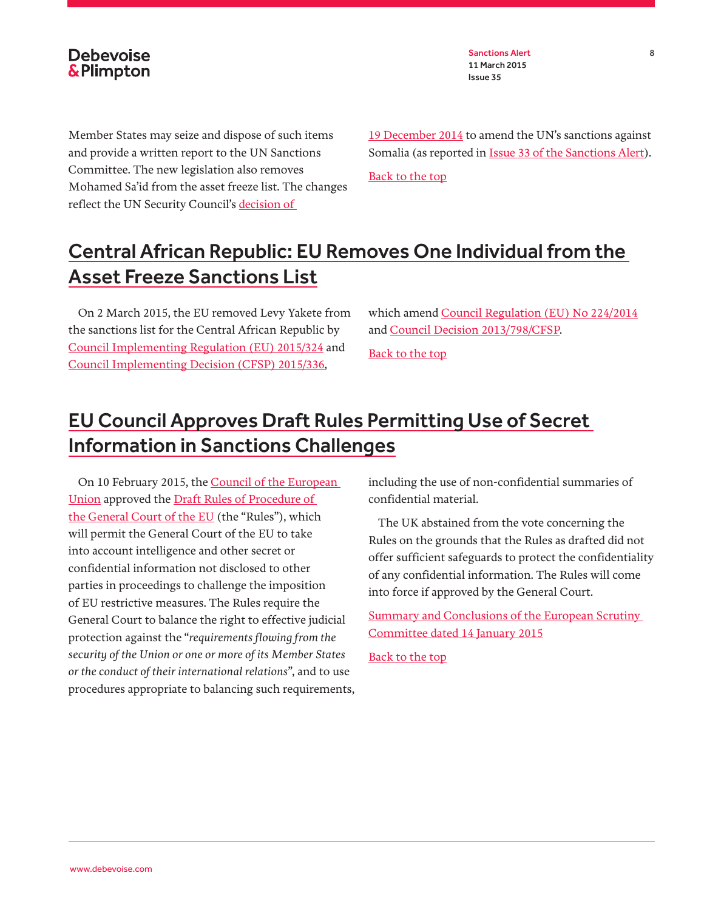Sanctions Alert 8 11 March 2015 Issue 35

Member States may seize and dispose of such items and provide a written report to the UN Sanctions Committee. The new legislation also removes Mohamed Sa'id from the asset freeze list. The changes reflect the UN Security Council's [decision of](http://www.un.org/press/en/2014/sc11718.doc.htm) 

[19 December 2014](http://www.un.org/press/en/2014/sc11718.doc.htm) to amend the UN's sanctions against Somalia (as reported in **Issue 33 of the Sanctions Alert**).

[Back to the top](#page-0-0)

# <span id="page-7-0"></span>Central African Republic: EU Removes One Individual from the Asset Freeze Sanctions List

On 2 March 2015, the EU removed Levy Yakete from the sanctions list for the Central African Republic by [Council Implementing Regulation \(EU\) 2015/324](http://eur-lex.europa.eu/legal-content/EN/TXT/PDF/?uri=OJ:JOL_2015_058_R_0003&from=EN) and [Council Implementing Decision \(CFSP\) 2015/336](http://eur-lex.europa.eu/legal-content/EN/TXT/PDF/?uri=OJ:JOL_2015_058_R_0015&from=EN),

which amend [Council Regulation \(EU\) No 224/2014](http://eur-lex.europa.eu/legal-content/EN/TXT/PDF/?uri=CELEX:32014R0224&from=EN) and [Council Decision 2013/798/CFSP.](http://eur-lex.europa.eu/legal-content/EN/TXT/PDF/?uri=CELEX:32013D0798&from=EN)

[Back to the top](#page-0-0)

### <span id="page-7-1"></span>EU Council Approves Draft Rules Permitting Use of Secret Information in Sanctions Challenges

On 10 February 2015, the [Council of the European](http://www.consilium.europa.eu/en/meetings/gac/2015/02/st06085_en15_pdf/)  [Union](http://www.consilium.europa.eu/en/meetings/gac/2015/02/st06085_en15_pdf/) approved the [Draft Rules of Procedure of](http://data.consilium.europa.eu/doc/document/ST-16724-2014-INIT/en/pdf)  [the General Court of the EU](http://data.consilium.europa.eu/doc/document/ST-16724-2014-INIT/en/pdf) (the "Rules"), which will permit the General Court of the EU to take into account intelligence and other secret or confidential information not disclosed to other parties in proceedings to challenge the imposition of EU restrictive measures. The Rules require the General Court to balance the right to effective judicial protection against the "*requirements flowing from the security of the Union or one or more of its Member States or the conduct of their international relations*", and to use procedures appropriate to balancing such requirements, including the use of non-confidential summaries of confidential material.

The UK abstained from the vote concerning the Rules on the grounds that the Rules as drafted did not offer sufficient safeguards to protect the confidentiality of any confidential information. The Rules will come into force if approved by the General Court.

[Summary and Conclusions of the European Scrutiny](http://www.publications.parliament.uk/pa/cm201415/cmselect/cmeuleg/219-xxviii/21916.htm)  [Committee dated 14 January 2015](http://www.publications.parliament.uk/pa/cm201415/cmselect/cmeuleg/219-xxviii/21916.htm)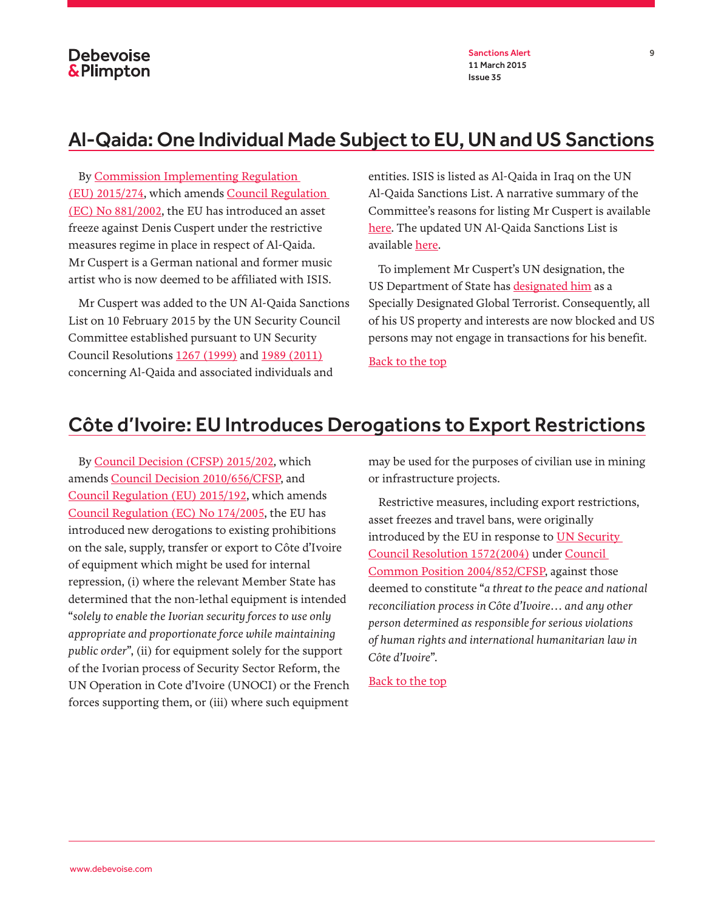Sanctions Alert 9 11 March 2015 Issue 35

#### <span id="page-8-0"></span>Al-Qaida: One Individual Made Subject to EU, UN and US Sanctions

By [Commission Implementing Regulation](http://eur-lex.europa.eu/legal-content/EN/TXT/PDF/?uri=OJ:JOL_2015_047_R_0008&rid=1)  [\(EU\) 2015/274](http://eur-lex.europa.eu/legal-content/EN/TXT/PDF/?uri=OJ:JOL_2015_047_R_0008&rid=1), which amends [Council Regulation](http://eur-lex.europa.eu/legal-content/EN/TXT/PDF/?uri=CELEX:32002R0881&rid=9)  [\(EC\) No 881/2002,](http://eur-lex.europa.eu/legal-content/EN/TXT/PDF/?uri=CELEX:32002R0881&rid=9) the EU has introduced an asset freeze against Denis Cuspert under the restrictive measures regime in place in respect of Al-Qaida. Mr Cuspert is a German national and former music artist who is now deemed to be affiliated with ISIS.

Mr Cuspert was added to the UN Al-Qaida Sanctions List on 10 February 2015 by the UN Security Council Committee established pursuant to UN Security Council Resolutions [1267 \(1999\)](http://www.un.org/en/ga/search/view_doc.asp?symbol=S/RES/1267(1999)) and [1989 \(2011\)](http://www.un.org/en/ga/search/view_doc.asp?symbol=S/RES/1989(2011)) concerning Al-Qaida and associated individuals and

entities. ISIS is listed as Al-Qaida in Iraq on the UN Al-Qaida Sanctions List. A narrative summary of the Committee's reasons for listing Mr Cuspert is available [here](http://www.un.org/sc/committees/1267/NSQI34715E.shtml). The updated UN Al-Qaida Sanctions List is available [here](http://www.un.org/sc/committees/1267/aq_sanctions_list.shtml).

To implement Mr Cuspert's UN designation, the US Department of State has [designated him](http://www.state.gov/r/pa/prs/ps/2015/02/237324.htm) as a Specially Designated Global Terrorist. Consequently, all of his US property and interests are now blocked and US persons may not engage in transactions for his benefit.

[Back to the top](#page-0-0)

### Côte d'Ivoire: EU Introduces Derogations to Export Restrictions

By [Council Decision \(CFSP\) 2015/202,](http://eur-lex.europa.eu/legal-content/EN/TXT/PDF/?uri=CELEX:32015D0202&rid=1) which amends [Council Decision 2010/656/CFSP](http://eur-lex.europa.eu/legal-content/EN/TXT/PDF/?uri=CELEX:32010D0656&rid=1), and [Council Regulation \(EU\) 2015/192](http://eur-lex.europa.eu/legal-content/EN/TXT/PDF/?uri=CELEX:32015R0192&rid=1), which amends [Council Regulation \(EC\) No 174/2005,](http://eur-lex.europa.eu/legal-content/EN/TXT/PDF/?uri=CELEX:32005R0174&rid=1) the EU has introduced new derogations to existing prohibitions on the sale, supply, transfer or export to Côte d'Ivoire of equipment which might be used for internal repression, (i) where the relevant Member State has determined that the non-lethal equipment is intended "*solely to enable the Ivorian security forces to use only appropriate and proportionate force while maintaining public order*", (ii) for equipment solely for the support of the Ivorian process of Security Sector Reform, the UN Operation in Cote d'Ivoire (UNOCI) or the French forces supporting them, or (iii) where such equipment

may be used for the purposes of civilian use in mining or infrastructure projects.

Restrictive measures, including export restrictions, asset freezes and travel bans, were originally introduced by the EU in response to UN Security [Council Resolution 1572\(2004\)](http://www.un.org/en/ga/search/view_doc.asp?symbol=S/RES/1572(2004)) under [Council](http://eur-lex.europa.eu/legal-content/EN/TXT/PDF/?uri=CELEX:32004E0852&rid=1)  [Common Position 2004/852/CFSP](http://eur-lex.europa.eu/legal-content/EN/TXT/PDF/?uri=CELEX:32004E0852&rid=1), against those deemed to constitute "*a threat to the peace and national reconciliation process in Côte d'Ivoire… and any other person determined as responsible for serious violations of human rights and international humanitarian law in Côte d'Ivoire*".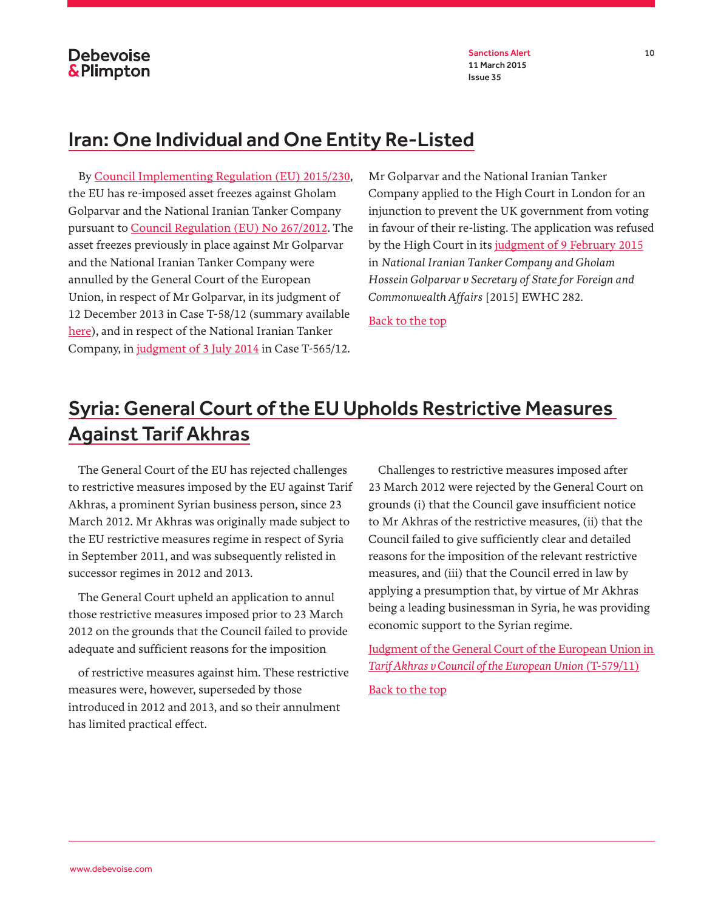Sanctions Alert 10 11 March 2015 Issue 35

#### <span id="page-9-0"></span>Iran: One Individual and One Entity Re-Listed

By [Council Implementing Regulation \(EU\) 2015/230,](http://eur-lex.europa.eu/legal-content/EN/TXT/PDF/?uri=OJ:JOL_2015_039_R_0002&from=EN) the EU has re-imposed asset freezes against Gholam Golparvar and the National Iranian Tanker Company pursuant to [Council Regulation \(EU\) No 267/2012.](http://eur-lex.europa.eu/legal-content/EN/TXT/PDF/?uri=CELEX:32012R0267&qid=1424207412421&from=EN) The asset freezes previously in place against Mr Golparvar and the National Iranian Tanker Company were annulled by the General Court of the European Union, in respect of Mr Golparvar, in its judgment of 12 December 2013 in Case T-58/12 (summary available [here](http://eur-lex.europa.eu/legal-content/EN/TXT/PDF/?uri=CELEX:62012TA0058&qid=1424207140182&from=EN)), and in respect of the National Iranian Tanker Company, in [judgment of 3 July 2014](http://eur-lex.europa.eu/legal-content/EN/TXT/HTML/?uri=CELEX:62012TJ0565&qid=1424207293483&from=EN) in Case T-565/12.

Mr Golparvar and the National Iranian Tanker Company applied to the High Court in London for an injunction to prevent the UK government from voting in favour of their re-listing. The application was refused by the High Court in its [judgment of 9 February 2015](http://www.bailii.org/cgi-bin/markup.cgi?doc=/ew/cases/EWHC/Admin/2015/282.html&query=National+and+Iranian+and+Tanker&method=boolean) in *National Iranian Tanker Company and Gholam Hossein Golparvar v Secretary of State for Foreign and Commonwealth Affairs* [2015] EWHC 282.

[Back to the top](#page-0-0)

### <span id="page-9-1"></span>Syria: General Court of the EU Upholds Restrictive Measures Against Tarif Akhras

The General Court of the EU has rejected challenges to restrictive measures imposed by the EU against Tarif Akhras, a prominent Syrian business person, since 23 March 2012. Mr Akhras was originally made subject to the EU restrictive measures regime in respect of Syria in September 2011, and was subsequently relisted in successor regimes in 2012 and 2013.

The General Court upheld an application to annul those restrictive measures imposed prior to 23 March 2012 on the grounds that the Council failed to provide adequate and sufficient reasons for the imposition

of restrictive measures against him. These restrictive measures were, however, superseded by those introduced in 2012 and 2013, and so their annulment has limited practical effect.

Challenges to restrictive measures imposed after 23 March 2012 were rejected by the General Court on grounds (i) that the Council gave insufficient notice to Mr Akhras of the restrictive measures, (ii) that the Council failed to give sufficiently clear and detailed reasons for the imposition of the relevant restrictive measures, and (iii) that the Council erred in law by applying a presumption that, by virtue of Mr Akhras being a leading businessman in Syria, he was providing economic support to the Syrian regime.

[Judgment of the General Court of the European Union in](http://curia.europa.eu/juris/document/document_print.jsf?doclang=EN&text=&pageIndex=0&part=1&mode=req&docid=162237&occ=first&dir=&cid=437415)  *[Tarif Akhras v Council of the European Union](http://curia.europa.eu/juris/document/document_print.jsf?doclang=EN&text=&pageIndex=0&part=1&mode=req&docid=162237&occ=first&dir=&cid=437415)* (T-579/11) [Back to the top](#page-0-0)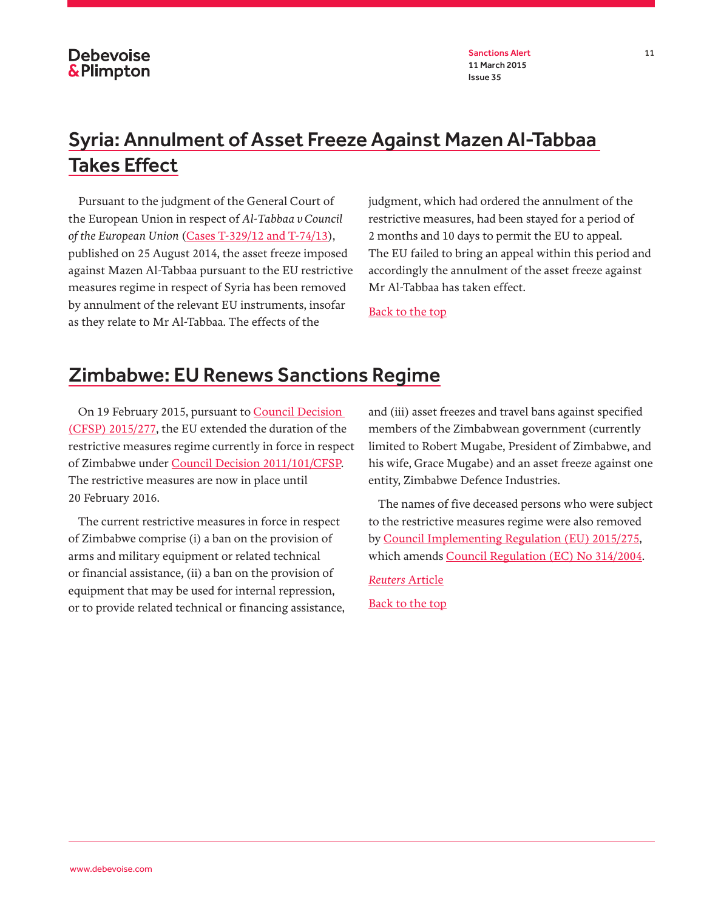Sanctions Alert 11 11 March 2015 Issue 35

# Syria: Annulment of Asset Freeze Against Mazen Al-Tabbaa Takes Effect

Pursuant to the judgment of the General Court of the European Union in respect of *Al-Tabbaa v Council of the European Union* [\(Cases T-329/12 and T-74/13](http://eur-lex.europa.eu/legal-content/EN/TXT/PDF/?uri=CELEX:62012TA0329&qid=1424365297424&from=EN)), published on 25 August 2014, the asset freeze imposed against Mazen Al-Tabbaa pursuant to the EU restrictive measures regime in respect of Syria has been removed by annulment of the relevant EU instruments, insofar as they relate to Mr Al-Tabbaa. The effects of the

judgment, which had ordered the annulment of the restrictive measures, had been stayed for a period of 2 months and 10 days to permit the EU to appeal. The EU failed to bring an appeal within this period and accordingly the annulment of the asset freeze against Mr Al-Tabbaa has taken effect.

[Back to the top](#page-0-0)

### <span id="page-10-0"></span>Zimbabwe: EU Renews Sanctions Regime

On 19 February 2015, pursuant to [Council Decision](http://eur-lex.europa.eu/legal-content/EN/TXT/PDF/?uri=OJ:JOL_2015_047_R_0011&rid=1)  [\(CFSP\) 2015/277,](http://eur-lex.europa.eu/legal-content/EN/TXT/PDF/?uri=OJ:JOL_2015_047_R_0011&rid=1) the EU extended the duration of the restrictive measures regime currently in force in respect of Zimbabwe under [Council Decision 2011/101/CFSP.](http://eur-lex.europa.eu/legal-content/EN/TXT/PDF/?uri=CELEX:32011D0101&rid=1) The restrictive measures are now in place until 20 February 2016.

The current restrictive measures in force in respect of Zimbabwe comprise (i) a ban on the provision of arms and military equipment or related technical or financial assistance, (ii) a ban on the provision of equipment that may be used for internal repression, or to provide related technical or financing assistance, and (iii) asset freezes and travel bans against specified members of the Zimbabwean government (currently limited to Robert Mugabe, President of Zimbabwe, and his wife, Grace Mugabe) and an asset freeze against one entity, Zimbabwe Defence Industries.

The names of five deceased persons who were subject to the restrictive measures regime were also removed by [Council Implementing Regulation \(EU\) 2015/275](http://eur-lex.europa.eu/legal-content/EN/TXT/PDF/?uri=OJ:JOL_2015_047_R_0009&rid=1), which amends [Council Regulation \(EC\) No 314/2004.](http://eur-lex.europa.eu/legal-content/EN/TXT/PDF/?uri=CELEX:32004R0314&rid=1)

*Reuters* [Article](http://www.reuters.com/article/2015/02/20/us-zimbabwe-eu-sanctions-idUSKBN0LO14L20150220) [Back to the top](#page-0-0)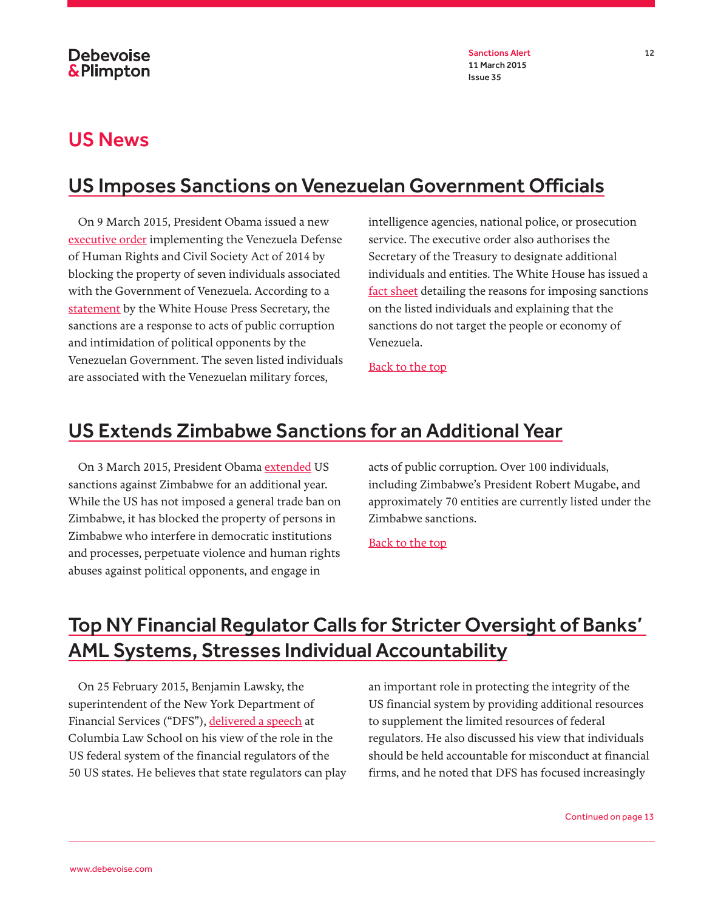Sanctions Alert 12 11 March 2015 Issue 35

### <span id="page-11-0"></span>US News

# <span id="page-11-1"></span>US Imposes Sanctions on Venezuelan Government Officials

On 9 March 2015, President Obama issued a new [executive order](http://www.treasury.gov/resource-center/sanctions/Programs/Documents/venezuela_eo.pdf) implementing the Venezuela Defense of Human Rights and Civil Society Act of 2014 by blocking the property of seven individuals associated with the Government of Venezuela. According to a [statement](http://www.whitehouse.gov/the-press-office/2015/03/09/statement-press-secretary-venezuela) by the White House Press Secretary, the sanctions are a response to acts of public corruption and intimidation of political opponents by the Venezuelan Government. The seven listed individuals are associated with the Venezuelan military forces,

intelligence agencies, national police, or prosecution service. The executive order also authorises the Secretary of the Treasury to designate additional individuals and entities. The White House has issued a [fact sheet](http://www.whitehouse.gov/the-press-office/2015/03/09/fact-sheet-venezuela-executive-order) detailing the reasons for imposing sanctions on the listed individuals and explaining that the sanctions do not target the people or economy of Venezuela.

[Back to the top](#page-0-0)

### <span id="page-11-2"></span>US Extends Zimbabwe Sanctions for an Additional Year

On 3 March 2015, President Obama [extended](http://www.whitehouse.gov/the-press-office/2015/03/03/notice-continuation-national-emergency-respect-zimbabwe) US sanctions against Zimbabwe for an additional year. While the US has not imposed a general trade ban on Zimbabwe, it has blocked the property of persons in Zimbabwe who interfere in democratic institutions and processes, perpetuate violence and human rights abuses against political opponents, and engage in

acts of public corruption. Over 100 individuals, including Zimbabwe's President Robert Mugabe, and approximately 70 entities are currently listed under the Zimbabwe sanctions.

[Back to the top](#page-0-0)

## Top NY Financial Regulator Calls for Stricter Oversight of Banks' AML Systems, Stresses Individual Accountability

On 25 February 2015, Benjamin Lawsky, the superintendent of the New York Department of Financial Services ("DFS"), [delivered a speech](http://www.dfs.ny.gov/about/speeches_testimony/sp150225.htm) at Columbia Law School on his view of the role in the US federal system of the financial regulators of the 50 US states. He believes that state regulators can play an important role in protecting the integrity of the US financial system by providing additional resources to supplement the limited resources of federal regulators. He also discussed his view that individuals should be held accountable for misconduct at financial firms, and he noted that DFS has focused increasingly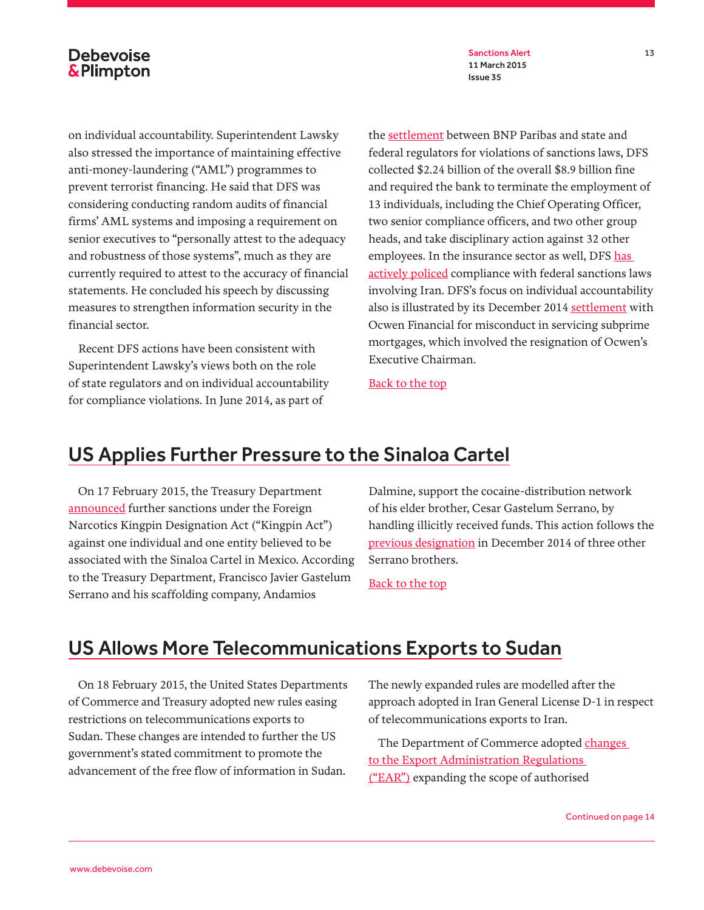Sanctions Alert 13 11 March 2015 Issue 35

on individual accountability. Superintendent Lawsky also stressed the importance of maintaining effective anti-money-laundering ("AML") programmes to prevent terrorist financing. He said that DFS was considering conducting random audits of financial firms' AML systems and imposing a requirement on senior executives to "personally attest to the adequacy and robustness of those systems", much as they are currently required to attest to the accuracy of financial statements. He concluded his speech by discussing measures to strengthen information security in the financial sector.

Recent DFS actions have been consistent with Superintendent Lawsky's views both on the role of state regulators and on individual accountability for compliance violations. In June 2014, as part of

the [settlement](http://www.dfs.ny.gov/about/press2014/pr1406301.htm) between BNP Paribas and state and federal regulators for violations of sanctions laws, DFS collected \$2.24 billion of the overall \$8.9 billion fine and required the bank to terminate the employment of 13 individuals, including the Chief Operating Officer, two senior compliance officers, and two other group heads, and take disciplinary action against 32 other employees. In the insurance sector as well, DFS has [actively policed](http://www.propertycasualty360.com/2013/08/29/lawsky-ny-dfs-probing-lloyds-iran-dealings) compliance with federal sanctions laws involving Iran. DFS's focus on individual accountability also is illustrated by its December 2014 [settlement](http://www.dfs.ny.gov/about/press2014/pr1412221.htm) with Ocwen Financial for misconduct in servicing subprime mortgages, which involved the resignation of Ocwen's Executive Chairman.

[Back to the top](#page-0-0)

### <span id="page-12-0"></span>US Applies Further Pressure to the Sinaloa Cartel

On 17 February 2015, the Treasury Department [announced](http://www.treasury.gov/press-center/press-releases/Pages/jl9775.aspx) further sanctions under the Foreign Narcotics Kingpin Designation Act ("Kingpin Act") against one individual and one entity believed to be associated with the Sinaloa Cartel in Mexico. According to the Treasury Department, Francisco Javier Gastelum Serrano and his scaffolding company, Andamios

Dalmine, support the cocaine-distribution network of his elder brother, Cesar Gastelum Serrano, by handling illicitly received funds. This action follows the [previous designation](http://www.treasury.gov/press-center/press-releases/Pages/jl9730.aspx) in December 2014 of three other Serrano brothers.

[Back to the top](#page-0-0)

#### <span id="page-12-1"></span>US Allows More Telecommunications Exports to Sudan

On 18 February 2015, the United States Departments of Commerce and Treasury adopted new rules easing restrictions on telecommunications exports to Sudan. These changes are intended to further the US government's stated commitment to promote the advancement of the free flow of information in Sudan.

The newly expanded rules are modelled after the approach adopted in Iran General License D-1 in respect of telecommunications exports to Iran.

The Department of Commerce adopted changes [to the Export Administration Regulations](http://www.bis.doc.gov/index.php/forms-documents/doc_download/1197-80-fr-8520)  [\("EAR"\)](http://www.bis.doc.gov/index.php/forms-documents/doc_download/1197-80-fr-8520) expanding the scope of authorised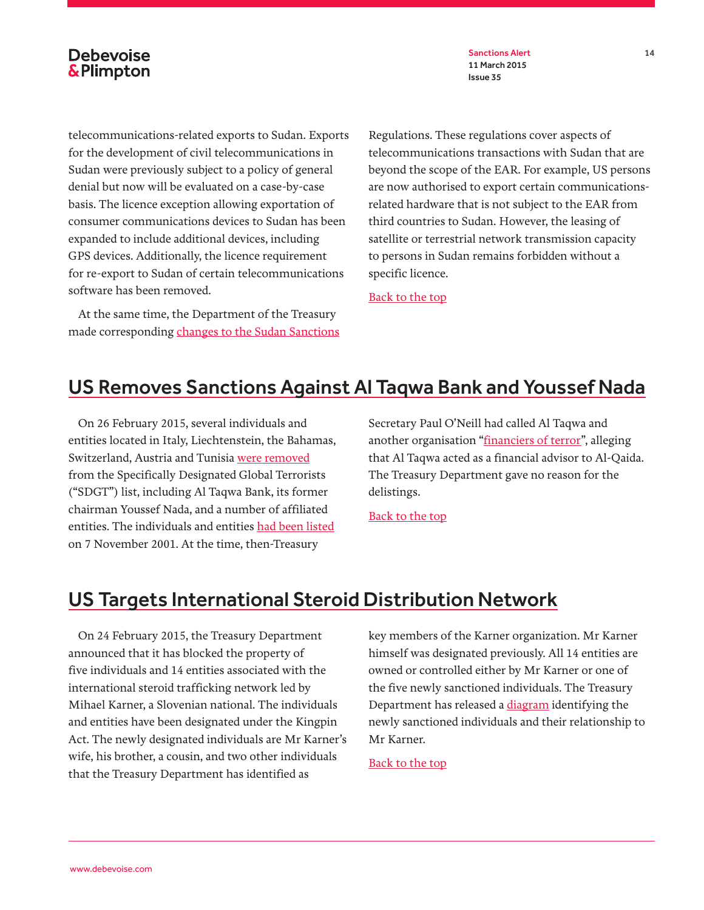Sanctions Alert 14 11 March 2015 Issue 35

telecommunications-related exports to Sudan. Exports for the development of civil telecommunications in Sudan were previously subject to a policy of general denial but now will be evaluated on a case-by-case basis. The licence exception allowing exportation of consumer communications devices to Sudan has been expanded to include additional devices, including GPS devices. Additionally, the licence requirement for re-export to Sudan of certain telecommunications software has been removed.

At the same time, the Department of the Treasury made corresponding [changes to the Sudan Sanctions](http://www.treasury.gov/resource-center/sanctions/Programs/Documents/sudan_gl_comm.pdf) Regulations. These regulations cover aspects of telecommunications transactions with Sudan that are beyond the scope of the EAR. For example, US persons are now authorised to export certain communicationsrelated hardware that is not subject to the EAR from third countries to Sudan. However, the leasing of satellite or terrestrial network transmission capacity to persons in Sudan remains forbidden without a specific licence.

[Back to the top](#page-0-0)

#### <span id="page-13-0"></span>US Removes Sanctions Against Al Taqwa Bank and Youssef Nada

On 26 February 2015, several individuals and entities located in Italy, Liechtenstein, the Bahamas, Switzerland, Austria and Tunisia [were removed](http://www.treasury.gov/resource-center/sanctions/OFAC-Enforcement/Pages/20150226.aspx) from the Specifically Designated Global Terrorists ("SDGT") list, including Al Taqwa Bank, its former chairman Youssef Nada, and a number of affiliated entities. The individuals and entities [had been listed](http://www.treasury.gov/resource-center/sanctions/OFAC-Enforcement/Pages/20011107.aspx) on 7 November 2001. At the time, then-Treasury

Secretary Paul O'Neill had called Al Taqwa and another organisation "[financiers of terror"](http://www.treasury.gov/press-center/press-releases/Pages/po770.aspx), alleging that Al Taqwa acted as a financial advisor to Al-Qaida. The Treasury Department gave no reason for the delistings.

[Back to the top](#page-0-0)

### <span id="page-13-1"></span>US Targets International Steroid Distribution Network

On 24 February 2015, the Treasury Department [announced](http://www.treasury.gov/press-center/press-releases/Pages/jl9980.aspx) that it has blocked the property of five individuals and 14 entities associated with the international steroid trafficking network led by Mihael Karner, a Slovenian national. The individuals and entities have been designated under the Kingpin Act. The newly designated individuals are Mr Karner's wife, his brother, a cousin, and two other individuals that the Treasury Department has identified as

key members of the Karner organization. Mr Karner himself was designated previously. All 14 entities are owned or controlled either by Mr Karner or one of the five newly sanctioned individuals. The Treasury Department has released a [diagram](http://www.treasury.gov/resource-center/sanctions/Programs/Documents/k_steroid_net_022015.pdf) identifying the newly sanctioned individuals and their relationship to Mr Karner.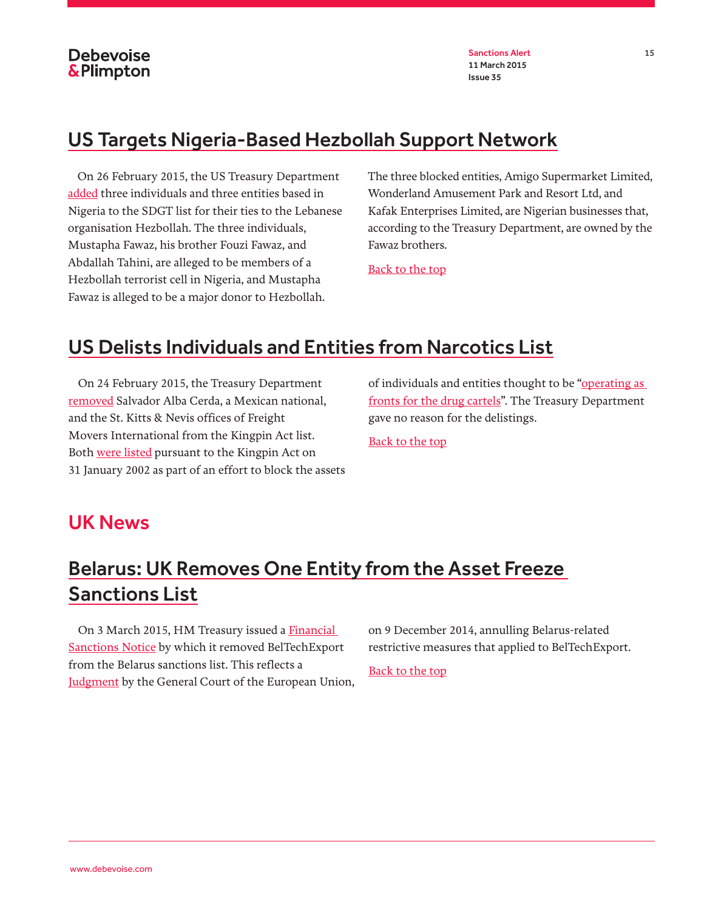

### <span id="page-14-0"></span>US Targets Nigeria-Based Hezbollah Support Network

On 26 February 2015, the US Treasury Department [added](http://www.treasury.gov/press-center/press-releases/Pages/jl9982.aspx) three individuals and three entities based in Nigeria to the SDGT list for their ties to the Lebanese organisation Hezbollah. The three individuals, Mustapha Fawaz, his brother Fouzi Fawaz, and Abdallah Tahini, are alleged to be members of a Hezbollah terrorist cell in Nigeria, and Mustapha Fawaz is alleged to be a major donor to Hezbollah.

The three blocked entities, Amigo Supermarket Limited, Wonderland Amusement Park and Resort Ltd, and Kafak Enterprises Limited, are Nigerian businesses that, according to the Treasury Department, are owned by the Fawaz brothers.

[Back to the top](#page-0-0)

### <span id="page-14-1"></span>US Delists Individuals and Entities from Narcotics List

On 24 February 2015, the Treasury Department [removed](http://www.treasury.gov/resource-center/sanctions/OFAC-Enforcement/Pages/20150224.aspx) Salvador Alba Cerda, a Mexican national, and the St. Kitts & Nevis offices of Freight Movers International from the Kingpin Act list. Both [were listed](http://www.treasury.gov/resource-center/sanctions/OFAC-Enforcement/Pages/20020131.aspx) pursuant to the Kingpin Act on 31 January 2002 as part of an effort to block the assets of individuals and entities thought to be "operating as [fronts for the drug cartels"](http://www.treasury.gov/press-center/press-releases/Pages/po967.aspx). The Treasury Department gave no reason for the delistings.

[Back to the top](#page-0-0)

#### <span id="page-14-2"></span>UK News

### <span id="page-14-3"></span>Belarus: UK Removes One Entity from the Asset Freeze Sanctions List

On 3 March 2015, HM Treasury issued a Financial [Sanctions Notice](https://www.gov.uk/government/publications/financial-sanctions-belarus) by which it removed BelTechExport from the Belarus sanctions list. This reflects a **Judgment** by the General Court of the European Union, on 9 December 2014, annulling Belarus-related restrictive measures that applied to BelTechExport.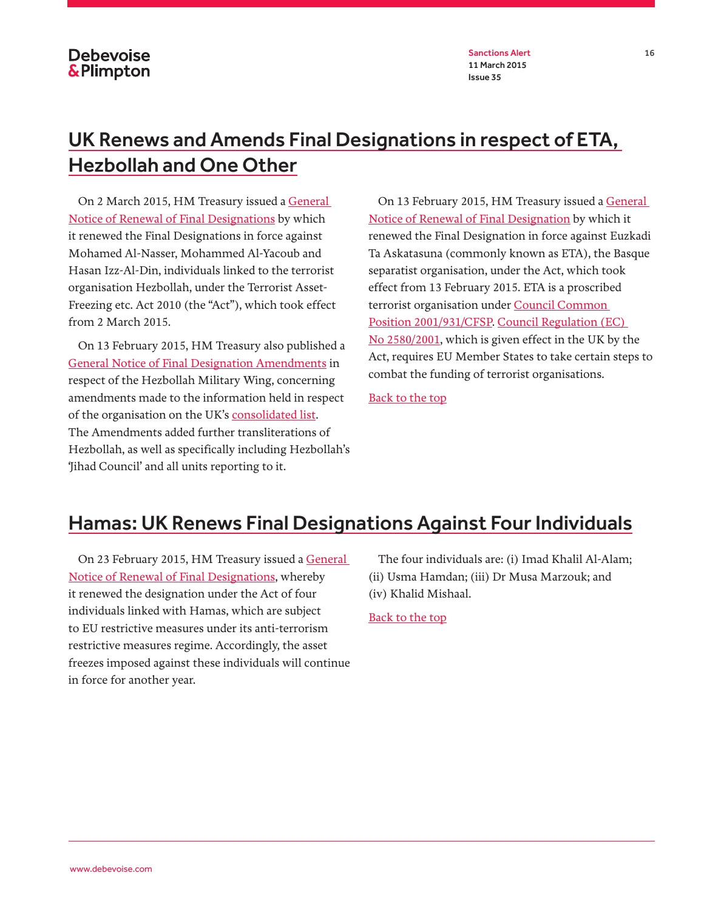Sanctions Alert 16 11 March 2015 Issue 35

# <span id="page-15-0"></span>UK Renews and Amends Final Designations in respect of ETA, Hezbollah and One Other

On 2 March 2015, HM Treasury issued a General [Notice of Renewal of Final Designations](https://www.gov.uk/government/publications/current-list-of-designated-persons-terrorism-and-terrorist-financing) by which it renewed the Final Designations in force against Mohamed Al-Nasser, Mohammed Al-Yacoub and Hasan Izz-Al-Din, individuals linked to the terrorist organisation Hezbollah, under the Terrorist Asset-Freezing etc. Act 2010 (the "Act"), which took effect from 2 March 2015.

On 13 February 2015, HM Treasury also published a [General Notice of Final Designation Amendments](https://www.gov.uk/government/publications/current-list-of-designated-persons-terrorism-and-terrorist-financing) in respect of the Hezbollah Military Wing, concerning amendments made to the information held in respect of the organisation on the UK's [consolidated list.](https://www.gov.uk/government/publications/financial-sanctions-consolidated-list-of-targets) The Amendments added further transliterations of Hezbollah, as well as specifically including Hezbollah's 'Jihad Council' and all units reporting to it.

On 13 February 2015, HM Treasury issued a General [Notice of Renewal of Final Designation](https://www.gov.uk/government/publications/current-list-of-designated-persons-terrorism-and-terrorist-financing) by which it renewed the Final Designation in force against Euzkadi Ta Askatasuna (commonly known as ETA), the Basque separatist organisation, under the Act, which took effect from 13 February 2015. ETA is a proscribed terrorist organisation under [Council Common](http://eur-lex.europa.eu/legal-content/EN/TXT/PDF/?uri=CELEX:32001E0931&qid=1424724013295&from=EN)  [Position 2001/931/CFSP](http://eur-lex.europa.eu/legal-content/EN/TXT/PDF/?uri=CELEX:32001E0931&qid=1424724013295&from=EN). [Council Regulation \(EC\)](http://eur-lex.europa.eu/legal-content/EN/TXT/PDF/?uri=CELEX:32001R2580&rid=1)  [No 2580/2001,](http://eur-lex.europa.eu/legal-content/EN/TXT/PDF/?uri=CELEX:32001R2580&rid=1) which is given effect in the UK by the Act, requires EU Member States to take certain steps to combat the funding of terrorist organisations.

[Back to the top](#page-0-0)

### <span id="page-15-1"></span>Hamas: UK Renews Final Designations Against Four Individuals

On 23 February 2015, HM Treasury issued a [General](https://www.gov.uk/government/publications/current-list-of-designated-persons-terrorism-and-terrorist-financing)  [Notice of Renewal of Final Designations](https://www.gov.uk/government/publications/current-list-of-designated-persons-terrorism-and-terrorist-financing), whereby it renewed the designation under the Act of four individuals linked with Hamas, which are subject to EU restrictive measures under its anti-terrorism restrictive measures regime. Accordingly, the asset freezes imposed against these individuals will continue in force for another year.

The four individuals are: (i) Imad Khalil Al-Alam; (ii) Usma Hamdan; (iii) Dr Musa Marzouk; and (iv) Khalid Mishaal.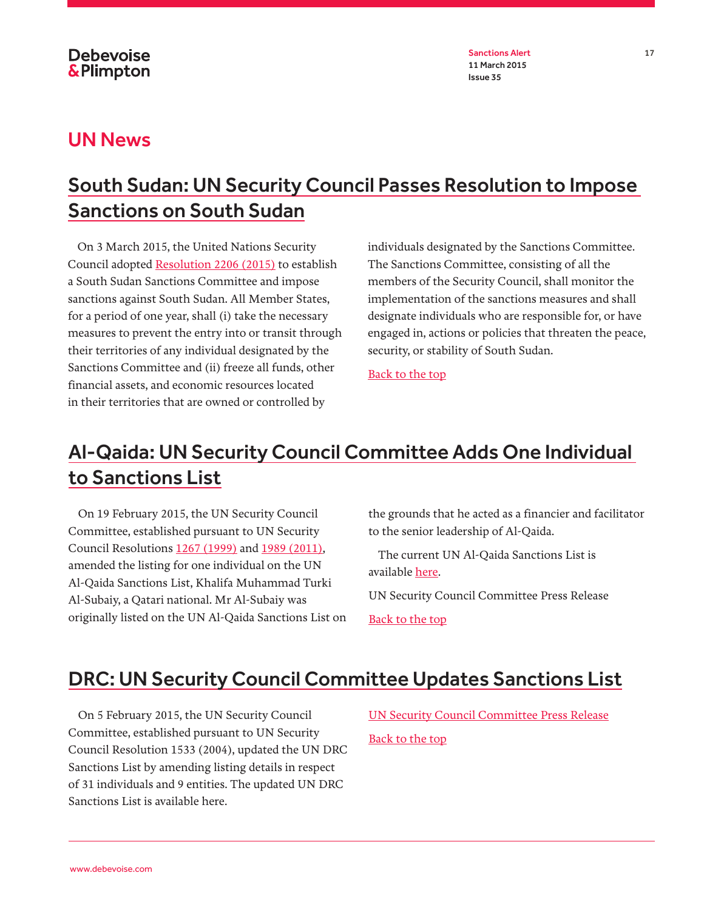Sanctions Alert 17 11 March 2015 Issue 35

#### <span id="page-16-0"></span>UN News

# <span id="page-16-1"></span>South Sudan: UN Security Council Passes Resolution to Impose Sanctions on South Sudan

On 3 March 2015, the United Nations Security Council adopted [Resolution 2206 \(2015\)](http://www.un.org/en/ga/search/view_doc.asp?symbol=S/RES/2206%20(2015)) to establish a South Sudan Sanctions Committee and impose sanctions against South Sudan. All Member States, for a period of one year, shall (i) take the necessary measures to prevent the entry into or transit through their territories of any individual designated by the Sanctions Committee and (ii) freeze all funds, other financial assets, and economic resources located in their territories that are owned or controlled by

individuals designated by the Sanctions Committee. The Sanctions Committee, consisting of all the members of the Security Council, shall monitor the implementation of the sanctions measures and shall designate individuals who are responsible for, or have engaged in, actions or policies that threaten the peace, security, or stability of South Sudan.

[Back to the top](#page-0-0)

# <span id="page-16-2"></span>Al-Qaida: UN Security Council Committee Adds One Individual to Sanctions List

On 19 February 2015, the UN Security Council Committee, established pursuant to UN Security Council Resolutions [1267 \(1999\)](http://www.un.org/en/ga/search/view_doc.asp?symbol=S/RES/1267(1999)) and [1989 \(2011\),](http://www.un.org/en/ga/search/view_doc.asp?symbol=S/RES/1989(2011)) amended the listing for one individual on the UN Al-Qaida Sanctions List, Khalifa Muhammad Turki Al-Subaiy, a Qatari national. Mr Al-Subaiy was originally listed on the UN Al-Qaida Sanctions List on the grounds that he acted as a financier and facilitator to the senior leadership of Al-Qaida.

The current UN Al-Qaida Sanctions List is available [here](http://www.un.org/sc/committees/1267/aq_sanctions_list.shtml).

[UN Security Council Committee Press Release](http://www.un.org/press/en/2015/sc11790.doc.htm)

[Back to the top](#page-0-0)

### <span id="page-16-3"></span>DRC: UN Security Council Committee Updates Sanctions List

On 5 February 2015, the UN Security Council Committee, established pursuant to UN Security Council Resolution 1533 (2004), updated the UN DRC Sanctions List by amending listing details in respect of 31 individuals and 9 entities. The updated UN DRC Sanctions List is available here.

[UN Security Council Committee Press Release](http://www.un.org/press/en/2015/sc11772.doc.htm) [Back to the top](#page-0-0)